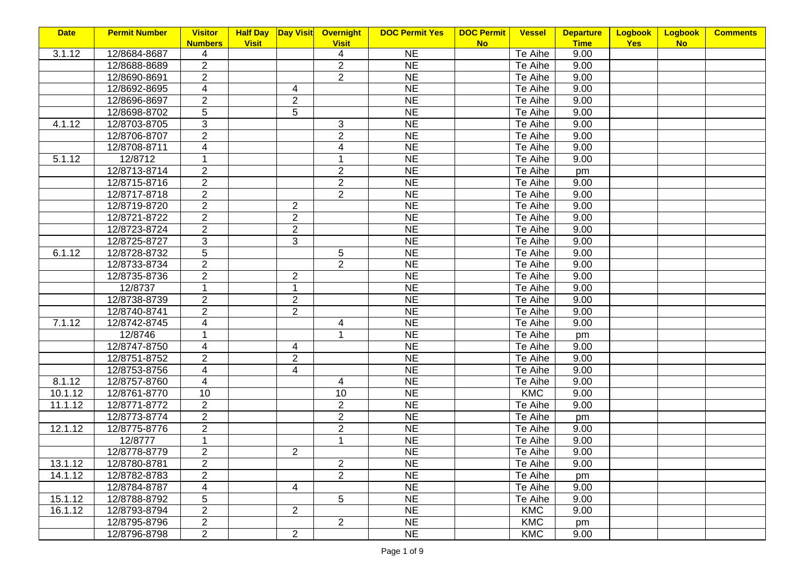| <b>Date</b> | <b>Permit Number</b> | <b>Visitor</b>          | <b>Half Day</b> |                | Day Visit Overnight | <b>DOC Permit Yes</b> | <b>DOC Permit</b> | <b>Vessel</b> | <b>Departure</b> | <b>Logbook</b> | Logbook   | <b>Comments</b> |
|-------------|----------------------|-------------------------|-----------------|----------------|---------------------|-----------------------|-------------------|---------------|------------------|----------------|-----------|-----------------|
|             |                      | <b>Numbers</b>          | <b>Visit</b>    |                | <b>Visit</b>        |                       | <b>No</b>         |               | <b>Time</b>      | <b>Yes</b>     | <b>No</b> |                 |
| 3.1.12      | 12/8684-8687         | 4                       |                 |                | 4                   | <b>NE</b>             |                   | Te Aihe       | 9.00             |                |           |                 |
|             | 12/8688-8689         | $\overline{2}$          |                 |                | $\overline{2}$      | <b>NE</b>             |                   | Te Aihe       | 9.00             |                |           |                 |
|             | 12/8690-8691         | $\overline{2}$          |                 |                | $\overline{2}$      | <b>NE</b>             |                   | Te Aihe       | 9.00             |                |           |                 |
|             | 12/8692-8695         | 4                       |                 | 4              |                     | <b>NE</b>             |                   | Te Aihe       | 9.00             |                |           |                 |
|             | 12/8696-8697         | $\overline{2}$          |                 | $\overline{2}$ |                     | <b>NE</b>             |                   | Te Aihe       | 9.00             |                |           |                 |
|             | 12/8698-8702         | 5                       |                 | $\overline{5}$ |                     | <b>NE</b>             |                   | Te Aihe       | 9.00             |                |           |                 |
| 4.1.12      | 12/8703-8705         | 3                       |                 |                | 3                   | <b>NE</b>             |                   | Te Aihe       | 9.00             |                |           |                 |
|             | 12/8706-8707         | $\overline{2}$          |                 |                | $\overline{2}$      | <b>NE</b>             |                   | Te Aihe       | 9.00             |                |           |                 |
|             | 12/8708-8711         | $\overline{4}$          |                 |                | 4                   | <b>NE</b>             |                   | Te Aihe       | 9.00             |                |           |                 |
| 5.1.12      | 12/8712              | 1                       |                 |                | $\mathbf 1$         | <b>NE</b>             |                   | Te Aihe       | 9.00             |                |           |                 |
|             | 12/8713-8714         | $\overline{2}$          |                 |                | $\overline{2}$      | <b>NE</b>             |                   | Te Aihe       | pm               |                |           |                 |
|             | 12/8715-8716         | $\overline{2}$          |                 |                | $\overline{2}$      | <b>NE</b>             |                   | Te Aihe       | 9.00             |                |           |                 |
|             | 12/8717-8718         | $\overline{2}$          |                 |                | $\overline{2}$      | <b>NE</b>             |                   | Te Aihe       | 9.00             |                |           |                 |
|             | 12/8719-8720         | $\overline{2}$          |                 | $\overline{2}$ |                     | <b>NE</b>             |                   | Te Aihe       | 9.00             |                |           |                 |
|             | 12/8721-8722         | $\overline{2}$          |                 | $\overline{2}$ |                     | <b>NE</b>             |                   | Te Aihe       | 9.00             |                |           |                 |
|             | 12/8723-8724         | $\overline{2}$          |                 | $\overline{2}$ |                     | <b>NE</b>             |                   | Te Aihe       | 9.00             |                |           |                 |
|             | 12/8725-8727         | 3                       |                 | 3              |                     | <b>NE</b>             |                   | Te Aihe       | 9.00             |                |           |                 |
| 6.1.12      | 12/8728-8732         | 5                       |                 |                | 5                   | <b>NE</b>             |                   | Te Aihe       | 9.00             |                |           |                 |
|             | 12/8733-8734         | $\overline{2}$          |                 |                | $\overline{2}$      | <b>NE</b>             |                   | Te Aihe       | 9.00             |                |           |                 |
|             | 12/8735-8736         | $\overline{2}$          |                 | $\overline{2}$ |                     | <b>NE</b>             |                   | Te Aihe       | 9.00             |                |           |                 |
|             | 12/8737              | 1                       |                 | $\mathbf{1}$   |                     | <b>NE</b>             |                   | Te Aihe       | 9.00             |                |           |                 |
|             | 12/8738-8739         | $\overline{2}$          |                 | $\overline{2}$ |                     | <b>NE</b>             |                   | Te Aihe       | 9.00             |                |           |                 |
|             | 12/8740-8741         | $\overline{2}$          |                 | $\overline{2}$ |                     | <b>NE</b>             |                   | Te Aihe       | 9.00             |                |           |                 |
| 7.1.12      | 12/8742-8745         | $\overline{4}$          |                 |                | 4                   | <b>NE</b>             |                   | Te Aihe       | 9.00             |                |           |                 |
|             | 12/8746              | 1                       |                 |                | $\mathbf{1}$        | <b>NE</b>             |                   | Te Aihe       | pm               |                |           |                 |
|             | 12/8747-8750         | $\overline{4}$          |                 | 4              |                     | <b>NE</b>             |                   | Te Aihe       | 9.00             |                |           |                 |
|             | 12/8751-8752         | $\overline{2}$          |                 | $\overline{2}$ |                     | $\overline{\sf NE}$   |                   | Te Aihe       | 9.00             |                |           |                 |
|             | 12/8753-8756         | $\overline{\mathbf{4}}$ |                 | $\overline{4}$ |                     | <b>NE</b>             |                   | Te Aihe       | 9.00             |                |           |                 |
| 8.1.12      | 12/8757-8760         | $\overline{4}$          |                 |                | 4                   | <b>NE</b>             |                   | Te Aihe       | 9.00             |                |           |                 |
| 10.1.12     | 12/8761-8770         | 10                      |                 |                | $\overline{10}$     | NE                    |                   | <b>KMC</b>    | 9.00             |                |           |                 |
| 11.1.12     | 12/8771-8772         | $\overline{2}$          |                 |                | $\overline{c}$      | <b>NE</b>             |                   | Te Aihe       | 9.00             |                |           |                 |
|             | 12/8773-8774         | $\overline{2}$          |                 |                | $\overline{2}$      | <b>NE</b>             |                   | Te Aihe       | pm               |                |           |                 |
| 12.1.12     | 12/8775-8776         | $\overline{2}$          |                 |                | $\overline{2}$      | <b>NE</b>             |                   | Te Aihe       | 9.00             |                |           |                 |
|             | 12/8777              | 1                       |                 |                | $\mathbf 1$         | <b>NE</b>             |                   | Te Aihe       | 9.00             |                |           |                 |
|             | 12/8778-8779         | $\overline{c}$          |                 | $\overline{c}$ |                     | <b>NE</b>             |                   | Te Aihe       | 9.00             |                |           |                 |
| 13.1.12     | 12/8780-8781         | $\overline{2}$          |                 |                | $\overline{2}$      | <b>NE</b>             |                   | Te Aihe       | 9.00             |                |           |                 |
| 14.1.12     | 12/8782-8783         | $\overline{2}$          |                 |                | $\overline{2}$      | <b>NE</b>             |                   | Te Aihe       | pm               |                |           |                 |
|             | 12/8784-8787         | 4                       |                 | $\overline{4}$ |                     | <b>NE</b>             |                   | Te Aihe       | 9.00             |                |           |                 |
| 15.1.12     | 12/8788-8792         | 5                       |                 |                | 5                   | <b>NE</b>             |                   | Te Aihe       | 9.00             |                |           |                 |
| 16.1.12     | 12/8793-8794         | $\overline{2}$          |                 | $\overline{2}$ |                     | <b>NE</b>             |                   | <b>KMC</b>    | 9.00             |                |           |                 |
|             | 12/8795-8796         | $\overline{c}$          |                 |                | $\overline{2}$      | <b>NE</b>             |                   | <b>KMC</b>    |                  |                |           |                 |
|             | 12/8796-8798         | $\overline{2}$          |                 | $\overline{2}$ |                     | <b>NE</b>             |                   | <b>KMC</b>    | pm<br>9.00       |                |           |                 |
|             |                      |                         |                 |                |                     |                       |                   |               |                  |                |           |                 |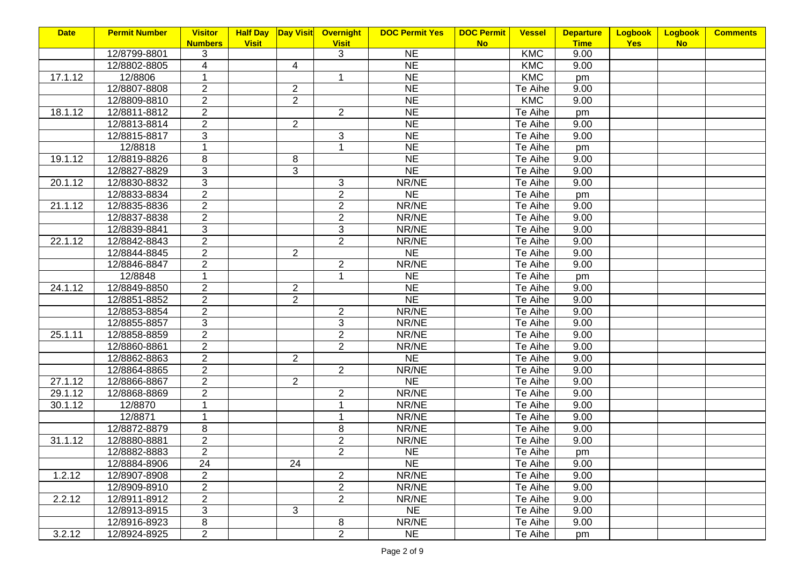| <b>DOC Permit Yes</b> | <b>Vessel</b>                                                                                                                                                                                                                                                                                                                                                               | <b>Departure</b>                                                                                                                                                                                                                                                                                                                                                     | Logbook                                                                                                                                                                                                                | Logbook   | <b>Comments</b> |
|-----------------------|-----------------------------------------------------------------------------------------------------------------------------------------------------------------------------------------------------------------------------------------------------------------------------------------------------------------------------------------------------------------------------|----------------------------------------------------------------------------------------------------------------------------------------------------------------------------------------------------------------------------------------------------------------------------------------------------------------------------------------------------------------------|------------------------------------------------------------------------------------------------------------------------------------------------------------------------------------------------------------------------|-----------|-----------------|
|                       | <b>No</b>                                                                                                                                                                                                                                                                                                                                                                   | <b>Time</b>                                                                                                                                                                                                                                                                                                                                                          | <b>Yes</b>                                                                                                                                                                                                             | <b>No</b> |                 |
|                       |                                                                                                                                                                                                                                                                                                                                                                             |                                                                                                                                                                                                                                                                                                                                                                      |                                                                                                                                                                                                                        |           |                 |
|                       |                                                                                                                                                                                                                                                                                                                                                                             |                                                                                                                                                                                                                                                                                                                                                                      |                                                                                                                                                                                                                        |           |                 |
|                       |                                                                                                                                                                                                                                                                                                                                                                             | pm                                                                                                                                                                                                                                                                                                                                                                   |                                                                                                                                                                                                                        |           |                 |
|                       |                                                                                                                                                                                                                                                                                                                                                                             |                                                                                                                                                                                                                                                                                                                                                                      |                                                                                                                                                                                                                        |           |                 |
|                       |                                                                                                                                                                                                                                                                                                                                                                             |                                                                                                                                                                                                                                                                                                                                                                      |                                                                                                                                                                                                                        |           |                 |
|                       | Te Aihe                                                                                                                                                                                                                                                                                                                                                                     | pm                                                                                                                                                                                                                                                                                                                                                                   |                                                                                                                                                                                                                        |           |                 |
|                       | Te Aihe                                                                                                                                                                                                                                                                                                                                                                     | 9.00                                                                                                                                                                                                                                                                                                                                                                 |                                                                                                                                                                                                                        |           |                 |
|                       | Te Aihe                                                                                                                                                                                                                                                                                                                                                                     | 9.00                                                                                                                                                                                                                                                                                                                                                                 |                                                                                                                                                                                                                        |           |                 |
| <b>NE</b>             | Te Aihe                                                                                                                                                                                                                                                                                                                                                                     | pm                                                                                                                                                                                                                                                                                                                                                                   |                                                                                                                                                                                                                        |           |                 |
| <b>NE</b>             | Te Aihe                                                                                                                                                                                                                                                                                                                                                                     | 9.00                                                                                                                                                                                                                                                                                                                                                                 |                                                                                                                                                                                                                        |           |                 |
| <b>NE</b>             | Te Aihe                                                                                                                                                                                                                                                                                                                                                                     | 9.00                                                                                                                                                                                                                                                                                                                                                                 |                                                                                                                                                                                                                        |           |                 |
| NR/NE                 | Te Aihe                                                                                                                                                                                                                                                                                                                                                                     | 9.00                                                                                                                                                                                                                                                                                                                                                                 |                                                                                                                                                                                                                        |           |                 |
| <b>NE</b>             | Te Aihe                                                                                                                                                                                                                                                                                                                                                                     | pm                                                                                                                                                                                                                                                                                                                                                                   |                                                                                                                                                                                                                        |           |                 |
| NR/NE                 | Te Aihe                                                                                                                                                                                                                                                                                                                                                                     | 9.00                                                                                                                                                                                                                                                                                                                                                                 |                                                                                                                                                                                                                        |           |                 |
| NR/NE                 | Te Aihe                                                                                                                                                                                                                                                                                                                                                                     | 9.00                                                                                                                                                                                                                                                                                                                                                                 |                                                                                                                                                                                                                        |           |                 |
| NR/NE                 | Te Aihe                                                                                                                                                                                                                                                                                                                                                                     | 9.00                                                                                                                                                                                                                                                                                                                                                                 |                                                                                                                                                                                                                        |           |                 |
|                       |                                                                                                                                                                                                                                                                                                                                                                             | 9.00                                                                                                                                                                                                                                                                                                                                                                 |                                                                                                                                                                                                                        |           |                 |
|                       |                                                                                                                                                                                                                                                                                                                                                                             |                                                                                                                                                                                                                                                                                                                                                                      |                                                                                                                                                                                                                        |           |                 |
|                       |                                                                                                                                                                                                                                                                                                                                                                             |                                                                                                                                                                                                                                                                                                                                                                      |                                                                                                                                                                                                                        |           |                 |
|                       |                                                                                                                                                                                                                                                                                                                                                                             |                                                                                                                                                                                                                                                                                                                                                                      |                                                                                                                                                                                                                        |           |                 |
|                       |                                                                                                                                                                                                                                                                                                                                                                             |                                                                                                                                                                                                                                                                                                                                                                      |                                                                                                                                                                                                                        |           |                 |
| <b>NE</b>             |                                                                                                                                                                                                                                                                                                                                                                             |                                                                                                                                                                                                                                                                                                                                                                      |                                                                                                                                                                                                                        |           |                 |
|                       |                                                                                                                                                                                                                                                                                                                                                                             |                                                                                                                                                                                                                                                                                                                                                                      |                                                                                                                                                                                                                        |           |                 |
| NR/NE                 |                                                                                                                                                                                                                                                                                                                                                                             | 9.00                                                                                                                                                                                                                                                                                                                                                                 |                                                                                                                                                                                                                        |           |                 |
|                       |                                                                                                                                                                                                                                                                                                                                                                             |                                                                                                                                                                                                                                                                                                                                                                      |                                                                                                                                                                                                                        |           |                 |
|                       |                                                                                                                                                                                                                                                                                                                                                                             |                                                                                                                                                                                                                                                                                                                                                                      |                                                                                                                                                                                                                        |           |                 |
|                       |                                                                                                                                                                                                                                                                                                                                                                             |                                                                                                                                                                                                                                                                                                                                                                      |                                                                                                                                                                                                                        |           |                 |
|                       |                                                                                                                                                                                                                                                                                                                                                                             |                                                                                                                                                                                                                                                                                                                                                                      |                                                                                                                                                                                                                        |           |                 |
|                       |                                                                                                                                                                                                                                                                                                                                                                             |                                                                                                                                                                                                                                                                                                                                                                      |                                                                                                                                                                                                                        |           |                 |
|                       |                                                                                                                                                                                                                                                                                                                                                                             |                                                                                                                                                                                                                                                                                                                                                                      |                                                                                                                                                                                                                        |           |                 |
|                       |                                                                                                                                                                                                                                                                                                                                                                             |                                                                                                                                                                                                                                                                                                                                                                      |                                                                                                                                                                                                                        |           |                 |
|                       |                                                                                                                                                                                                                                                                                                                                                                             |                                                                                                                                                                                                                                                                                                                                                                      |                                                                                                                                                                                                                        |           |                 |
|                       |                                                                                                                                                                                                                                                                                                                                                                             |                                                                                                                                                                                                                                                                                                                                                                      |                                                                                                                                                                                                                        |           |                 |
|                       |                                                                                                                                                                                                                                                                                                                                                                             |                                                                                                                                                                                                                                                                                                                                                                      |                                                                                                                                                                                                                        |           |                 |
|                       |                                                                                                                                                                                                                                                                                                                                                                             |                                                                                                                                                                                                                                                                                                                                                                      |                                                                                                                                                                                                                        |           |                 |
|                       |                                                                                                                                                                                                                                                                                                                                                                             |                                                                                                                                                                                                                                                                                                                                                                      |                                                                                                                                                                                                                        |           |                 |
|                       |                                                                                                                                                                                                                                                                                                                                                                             |                                                                                                                                                                                                                                                                                                                                                                      |                                                                                                                                                                                                                        |           |                 |
|                       |                                                                                                                                                                                                                                                                                                                                                                             |                                                                                                                                                                                                                                                                                                                                                                      |                                                                                                                                                                                                                        |           |                 |
|                       |                                                                                                                                                                                                                                                                                                                                                                             |                                                                                                                                                                                                                                                                                                                                                                      |                                                                                                                                                                                                                        |           |                 |
|                       |                                                                                                                                                                                                                                                                                                                                                                             |                                                                                                                                                                                                                                                                                                                                                                      |                                                                                                                                                                                                                        |           |                 |
|                       |                                                                                                                                                                                                                                                                                                                                                                             |                                                                                                                                                                                                                                                                                                                                                                      |                                                                                                                                                                                                                        |           |                 |
|                       |                                                                                                                                                                                                                                                                                                                                                                             |                                                                                                                                                                                                                                                                                                                                                                      |                                                                                                                                                                                                                        |           |                 |
| <b>Visit</b>          | <b>Overnight</b><br><b>NE</b><br><b>NE</b><br><b>NE</b><br><b>NE</b><br><b>NE</b><br><b>NE</b><br>N <sub>E</sub><br><b>NE</b><br>NR/NE<br><b>NE</b><br>NR/NE<br><b>NE</b><br><b>NE</b><br>NR/NE<br>NR/NE<br>NR/NE<br>NE<br>NR/NE<br><b>NE</b><br>NR/NE<br>NR/NE<br>NR/NE<br>NR/NE<br>NR/NE<br>NE<br><b>NE</b><br>NR/NE<br>NR/NE<br>NR/NE<br><b>NE</b><br>NR/NE<br><b>NE</b> | <b>DOC Permit</b><br><b>KMC</b><br><b>KMC</b><br>KMC<br>Te Aihe<br>KMC<br>Te Aihe<br>Te Aihe<br>Te Aihe<br>Te Aihe<br>Te Aihe<br>Te Aihe<br>Te Aihe<br>Te Aihe<br>Te Aihe<br>Te Aihe<br>Te Aihe<br>Te Aihe<br>Te Aihe<br>Te Aihe<br>Te Aihe<br>Te Aihe<br>Te Aihe<br>Te Aihe<br>Te Aihe<br>Te Aihe<br>Te Aihe<br>Te Aihe<br>Te Aihe<br>Te Aihe<br>Te Aihe<br>Te Aihe | 9.00<br>9.00<br>9.00<br>9.00<br>9.00<br>9.00<br>pm<br>9.00<br>9.00<br>9.00<br>9.00<br>9.00<br>9.00<br>9.00<br>9.00<br>9.00<br>9.00<br>9.00<br>9.00<br>9.00<br>pm<br>9.00<br>9.00<br>9.00<br>9.00<br>9.00<br>9.00<br>pm |           |                 |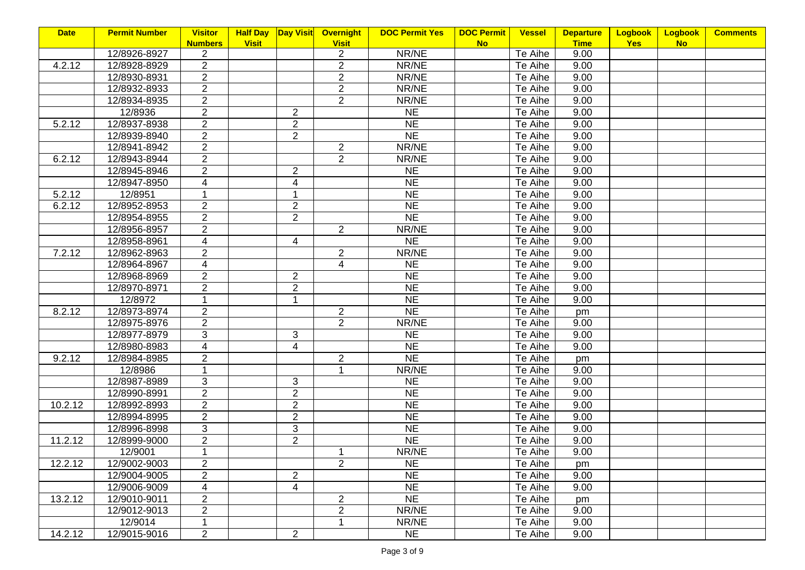| <b>Date</b> | <b>Permit Number</b> | <b>Visitor</b>    | <b>Half Day</b> |                          | Day Visit Overnight | <b>DOC Permit Yes</b> | <b>DOC Permit</b> | <b>Vessel</b> | <b>Departure</b> | <b>Logbook</b> | Logbook   | <b>Comments</b> |
|-------------|----------------------|-------------------|-----------------|--------------------------|---------------------|-----------------------|-------------------|---------------|------------------|----------------|-----------|-----------------|
|             |                      | <b>Numbers</b>    | <b>Visit</b>    |                          | <b>Visit</b>        |                       | <b>No</b>         |               | <b>Time</b>      | <b>Yes</b>     | <b>No</b> |                 |
|             | 12/8926-8927         | 2                 |                 |                          | $\overline{a}$      | NR/NE                 |                   | Te Aihe       | 9.00             |                |           |                 |
| 4.2.12      | 12/8928-8929         | $\overline{2}$    |                 |                          | $\overline{2}$      | NR/NE                 |                   | Te Aihe       | 9.00             |                |           |                 |
|             | 12/8930-8931         | $\overline{2}$    |                 |                          | $\overline{2}$      | NR/NE                 |                   | Te Aihe       | 9.00             |                |           |                 |
|             | 12/8932-8933         | $\overline{2}$    |                 |                          | $\overline{2}$      | NR/NE                 |                   | Te Aihe       | 9.00             |                |           |                 |
|             | 12/8934-8935         | $\overline{2}$    |                 |                          | $\overline{2}$      | NR/NE                 |                   | Te Aihe       | 9.00             |                |           |                 |
|             | 12/8936              | $\overline{2}$    |                 | $\overline{2}$           |                     | <b>NE</b>             |                   | Te Aihe       | 9.00             |                |           |                 |
| 5.2.12      | 12/8937-8938         | $\overline{2}$    |                 | $\overline{2}$           |                     | <b>NE</b>             |                   | Te Aihe       | 9.00             |                |           |                 |
|             | 12/8939-8940         | $\overline{2}$    |                 | $\overline{2}$           |                     | <b>NE</b>             |                   | Te Aihe       | 9.00             |                |           |                 |
|             | 12/8941-8942         | $\overline{2}$    |                 |                          | $\overline{2}$      | NR/NE                 |                   | Te Aihe       | 9.00             |                |           |                 |
| 6.2.12      | 12/8943-8944         | $\overline{2}$    |                 |                          | $\overline{2}$      | NR/NE                 |                   | Te Aihe       | 9.00             |                |           |                 |
|             | 12/8945-8946         | $2^{\overline{}}$ |                 | $\overline{2}$           |                     | <b>NE</b>             |                   | Te Aihe       | 9.00             |                |           |                 |
|             | 12/8947-8950         | $\overline{4}$    |                 | 4                        |                     | <b>NE</b>             |                   | Te Aihe       | 9.00             |                |           |                 |
| 5.2.12      | 12/8951              | $\mathbf 1$       |                 | 1                        |                     | <b>NE</b>             |                   | Te Aihe       | 9.00             |                |           |                 |
| 6.2.12      | 12/8952-8953         | $\overline{2}$    |                 | $\overline{2}$           |                     | <b>NE</b>             |                   | Te Aihe       | 9.00             |                |           |                 |
|             | 12/8954-8955         | $\overline{2}$    |                 | $\overline{2}$           |                     | <b>NE</b>             |                   | Te Aihe       | 9.00             |                |           |                 |
|             | 12/8956-8957         | $\overline{2}$    |                 |                          | $\overline{2}$      | NR/NE                 |                   | Te Aihe       | 9.00             |                |           |                 |
|             | 12/8958-8961         | 4                 |                 | $\overline{4}$           |                     | $\overline{\sf NE}$   |                   | Te Aihe       | 9.00             |                |           |                 |
| 7.2.12      | 12/8962-8963         | $\overline{2}$    |                 |                          | $\overline{2}$      | NR/NE                 |                   | Te Aihe       | 9.00             |                |           |                 |
|             | 12/8964-8967         | $\overline{4}$    |                 |                          | $\overline{4}$      | <b>NE</b>             |                   | Te Aihe       | 9.00             |                |           |                 |
|             | 12/8968-8969         | $\overline{2}$    |                 | $\overline{2}$           |                     | <b>NE</b>             |                   | Te Aihe       | 9.00             |                |           |                 |
|             | 12/8970-8971         | $\overline{2}$    |                 | $\overline{2}$           |                     | NE                    |                   | Te Aihe       | 9.00             |                |           |                 |
|             | 12/8972              | 1                 |                 | 1                        |                     | N <sub>E</sub>        |                   | Te Aihe       | 9.00             |                |           |                 |
| 8.2.12      | 12/8973-8974         | $\overline{2}$    |                 |                          | $\overline{2}$      | NE                    |                   | Te Aihe       | pm               |                |           |                 |
|             | 12/8975-8976         | $\overline{2}$    |                 |                          | $\overline{2}$      | NR/NE                 |                   | Te Aihe       | 9.00             |                |           |                 |
|             | 12/8977-8979         | 3                 |                 | $\mathfrak{S}$           |                     | <b>NE</b>             |                   | Te Aihe       | 9.00             |                |           |                 |
|             | 12/8980-8983         | $\overline{4}$    |                 | $\overline{\mathcal{A}}$ |                     | <b>NE</b>             |                   | Te Aihe       | 9.00             |                |           |                 |
| 9.2.12      | 12/8984-8985         | $\overline{2}$    |                 |                          | $\overline{c}$      | NE                    |                   | Te Aihe       | pm               |                |           |                 |
|             | 12/8986              | 1                 |                 |                          | 1                   | NR/NE                 |                   | Te Aihe       | 9.00             |                |           |                 |
|             | 12/8987-8989         | 3                 |                 | 3                        |                     | <b>NE</b>             |                   | Te Aihe       | 9.00             |                |           |                 |
|             | 12/8990-8991         | $\overline{2}$    |                 | $\overline{2}$           |                     | NE                    |                   | Te Aihe       | 9.00             |                |           |                 |
| 10.2.12     | 12/8992-8993         | $\overline{c}$    |                 | $\overline{c}$           |                     | <b>NE</b>             |                   | Te Aihe       | 9.00             |                |           |                 |
|             | 12/8994-8995         | $\overline{2}$    |                 | $\overline{2}$           |                     | <b>NE</b>             |                   | Te Aihe       | 9.00             |                |           |                 |
|             | 12/8996-8998         | 3                 |                 | 3                        |                     | <b>NE</b>             |                   | Te Aihe       | 9.00             |                |           |                 |
| 11.2.12     | 12/8999-9000         | $\overline{2}$    |                 | $\overline{2}$           |                     | <b>NE</b>             |                   | Te Aihe       | 9.00             |                |           |                 |
|             | 12/9001              | $\mathbf 1$       |                 |                          | $\mathbf{1}$        | NR/NE                 |                   | Te Aihe       | 9.00             |                |           |                 |
| 12.2.12     | 12/9002-9003         | $\overline{2}$    |                 |                          | $\overline{2}$      | <b>NE</b>             |                   | Te Aihe       | pm               |                |           |                 |
|             | 12/9004-9005         | $\overline{2}$    |                 | $\overline{2}$           |                     | <b>NE</b>             |                   | Te Aihe       | 9.00             |                |           |                 |
|             | 12/9006-9009         | 4                 |                 | 4                        |                     | <b>NE</b>             |                   | Te Aihe       | 9.00             |                |           |                 |
| 13.2.12     | 12/9010-9011         | $\overline{2}$    |                 |                          | $\overline{2}$      | <b>NE</b>             |                   | Te Aihe       | pm               |                |           |                 |
|             | 12/9012-9013         | $\overline{2}$    |                 |                          | $\overline{2}$      | NR/NE                 |                   | Te Aihe       | 9.00             |                |           |                 |
|             | 12/9014              | $\mathbf{1}$      |                 |                          | 1                   | NR/NE                 |                   | Te Aihe       | 9.00             |                |           |                 |
| 14.2.12     | 12/9015-9016         | 2                 |                 | $\overline{2}$           |                     | <b>NE</b>             |                   | Te Aihe       | 9.00             |                |           |                 |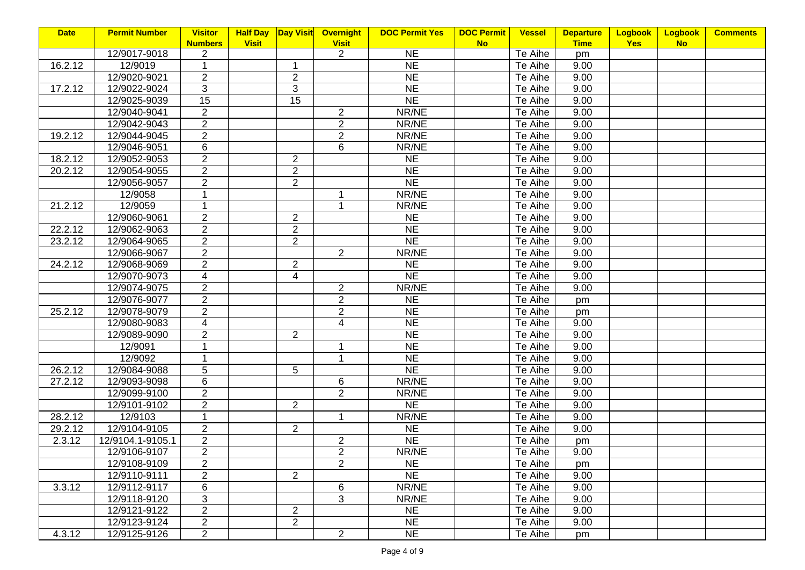| <b>Date</b> | <b>Permit Number</b> | <b>Visitor</b> | <b>Half Day</b> |                | Day Visit Overnight | <b>DOC Permit Yes</b> | <b>DOC Permit</b> | <b>Vessel</b> | <b>Departure</b> | <b>Logbook</b> | Logbook   | <b>Comments</b> |
|-------------|----------------------|----------------|-----------------|----------------|---------------------|-----------------------|-------------------|---------------|------------------|----------------|-----------|-----------------|
|             |                      | <b>Numbers</b> | <b>Visit</b>    |                | <b>Visit</b>        |                       | <b>No</b>         |               | <b>Time</b>      | <b>Yes</b>     | <b>No</b> |                 |
|             | 12/9017-9018         | 2              |                 |                | $\overline{2}$      | <b>NE</b>             |                   | Te Aihe       | pm               |                |           |                 |
| 16.2.12     | 12/9019              | 1              |                 | 1              |                     | <b>NE</b>             |                   | Te Aihe       | 9.00             |                |           |                 |
|             | 12/9020-9021         | $\overline{2}$ |                 | $\overline{c}$ |                     | <b>NE</b>             |                   | Te Aihe       | 9.00             |                |           |                 |
| 17.2.12     | 12/9022-9024         | 3              |                 | 3              |                     | <b>NE</b>             |                   | Te Aihe       | 9.00             |                |           |                 |
|             | 12/9025-9039         | 15             |                 | 15             |                     | N <sub>E</sub>        |                   | Te Aihe       | 9.00             |                |           |                 |
|             | 12/9040-9041         | $\overline{2}$ |                 |                | $\overline{2}$      | NR/NE                 |                   | Te Aihe       | 9.00             |                |           |                 |
|             | 12/9042-9043         | $\overline{2}$ |                 |                | $\overline{2}$      | NR/NE                 |                   | Te Aihe       | 9.00             |                |           |                 |
| 19.2.12     | 12/9044-9045         | $\overline{2}$ |                 |                | $\overline{2}$      | NR/NE                 |                   | Te Aihe       | 9.00             |                |           |                 |
|             | 12/9046-9051         | 6              |                 |                | 6                   | NR/NE                 |                   | Te Aihe       | 9.00             |                |           |                 |
| 18.2.12     | 12/9052-9053         | $\overline{2}$ |                 | $\overline{2}$ |                     | <b>NE</b>             |                   | Te Aihe       | 9.00             |                |           |                 |
| 20.2.12     | 12/9054-9055         | $\overline{2}$ |                 | $\overline{2}$ |                     | <b>NE</b>             |                   | Te Aihe       | 9.00             |                |           |                 |
|             | 12/9056-9057         | $\overline{2}$ |                 | $\overline{2}$ |                     | <b>NE</b>             |                   | Te Aihe       | 9.00             |                |           |                 |
|             | 12/9058              | 1              |                 |                | 1                   | NR/NE                 |                   | Te Aihe       | 9.00             |                |           |                 |
| 21.2.12     | 12/9059              | 1              |                 |                | $\mathbf{1}$        | NR/NE                 |                   | Te Aihe       | 9.00             |                |           |                 |
|             | 12/9060-9061         | $\overline{2}$ |                 | $\overline{2}$ |                     | <b>NE</b>             |                   | Te Aihe       | 9.00             |                |           |                 |
| 22.2.12     | 12/9062-9063         | $\overline{2}$ |                 | $\overline{2}$ |                     | <b>NE</b>             |                   | Te Aihe       | 9.00             |                |           |                 |
| 23.2.12     | 12/9064-9065         | $\overline{2}$ |                 | $\overline{2}$ |                     | <b>NE</b>             |                   | Te Aihe       | 9.00             |                |           |                 |
|             | 12/9066-9067         | $\overline{2}$ |                 |                | $\overline{2}$      | NR/NE                 |                   | Te Aihe       | 9.00             |                |           |                 |
| 24.2.12     | 12/9068-9069         | $\overline{2}$ |                 | $\overline{2}$ |                     | <b>NE</b>             |                   | Te Aihe       | 9.00             |                |           |                 |
|             | 12/9070-9073         | $\overline{4}$ |                 | $\overline{4}$ |                     | N <sub>E</sub>        |                   | Te Aihe       | 9.00             |                |           |                 |
|             | 12/9074-9075         | $\overline{2}$ |                 |                | $\overline{2}$      | NR/NE                 |                   | Te Aihe       | 9.00             |                |           |                 |
|             | 12/9076-9077         | $\overline{2}$ |                 |                | $\overline{2}$      | <b>NE</b>             |                   | Te Aihe       | pm               |                |           |                 |
| 25.2.12     | 12/9078-9079         | $\overline{2}$ |                 |                | $\overline{2}$      | N <sub>E</sub>        |                   | Te Aihe       | pm               |                |           |                 |
|             | 12/9080-9083         | $\overline{4}$ |                 |                | $\overline{4}$      | N <sub>E</sub>        |                   | Te Aihe       | 9.00             |                |           |                 |
|             | 12/9089-9090         | $\overline{2}$ |                 | $\overline{2}$ |                     | <b>NE</b>             |                   | Te Aihe       | 9.00             |                |           |                 |
|             | 12/9091              | 1              |                 |                | 1                   | <b>NE</b>             |                   | Te Aihe       | 9.00             |                |           |                 |
|             | 12/9092              | 1              |                 |                | 1                   | N <sub>E</sub>        |                   | Te Aihe       | 9.00             |                |           |                 |
| 26.2.12     | 12/9084-9088         | 5              |                 | 5              |                     | <b>NE</b>             |                   | Te Aihe       | 9.00             |                |           |                 |
| 27.2.12     | 12/9093-9098         | 6              |                 |                | 6                   | NR/NE                 |                   | Te Aihe       | 9.00             |                |           |                 |
|             | 12/9099-9100         | $\overline{2}$ |                 |                | $\overline{2}$      | NR/NE                 |                   | Te Aihe       | 9.00             |                |           |                 |
|             | 12/9101-9102         | $\overline{2}$ |                 | $\overline{2}$ |                     | $\overline{\sf NE}$   |                   | Te Aihe       | 9.00             |                |           |                 |
| 28.2.12     | 12/9103              | $\mathbf 1$    |                 |                | 1                   | NR/NE                 |                   | Te Aihe       | 9.00             |                |           |                 |
| 29.2.12     | 12/9104-9105         | $\overline{2}$ |                 | $\overline{2}$ |                     | <b>NE</b>             |                   | Te Aihe       | 9.00             |                |           |                 |
| 2.3.12      | 12/9104.1-9105.1     | $\overline{2}$ |                 |                | $\overline{2}$      | <b>NE</b>             |                   | Te Aihe       | pm               |                |           |                 |
|             | 12/9106-9107         | $\overline{2}$ |                 |                | $\overline{2}$      | NR/NE                 |                   | Te Aihe       | 9.00             |                |           |                 |
|             | 12/9108-9109         | $\overline{2}$ |                 |                | $\overline{2}$      | NE.                   |                   | Te Aihe       | pm               |                |           |                 |
|             | 12/9110-9111         | $\overline{2}$ |                 | $\overline{2}$ |                     | <b>NE</b>             |                   | Te Aihe       | 9.00             |                |           |                 |
| 3.3.12      | 12/9112-9117         | 6              |                 |                | 6                   | NR/NE                 |                   | Te Aihe       | 9.00             |                |           |                 |
|             | 12/9118-9120         | 3              |                 |                | 3                   | NR/NE                 |                   | Te Aihe       | 9.00             |                |           |                 |
|             | 12/9121-9122         | $\overline{c}$ |                 | $\overline{c}$ |                     | <b>NE</b>             |                   | Te Aihe       | 9.00             |                |           |                 |
|             | 12/9123-9124         | $\overline{2}$ |                 | $\overline{2}$ |                     | <b>NE</b>             |                   | Te Aihe       | 9.00             |                |           |                 |
| 4.3.12      | 12/9125-9126         | $\overline{2}$ |                 |                | $\overline{2}$      | <b>NE</b>             |                   |               |                  |                |           |                 |
|             |                      |                |                 |                |                     |                       |                   | Te Aihe       | pm               |                |           |                 |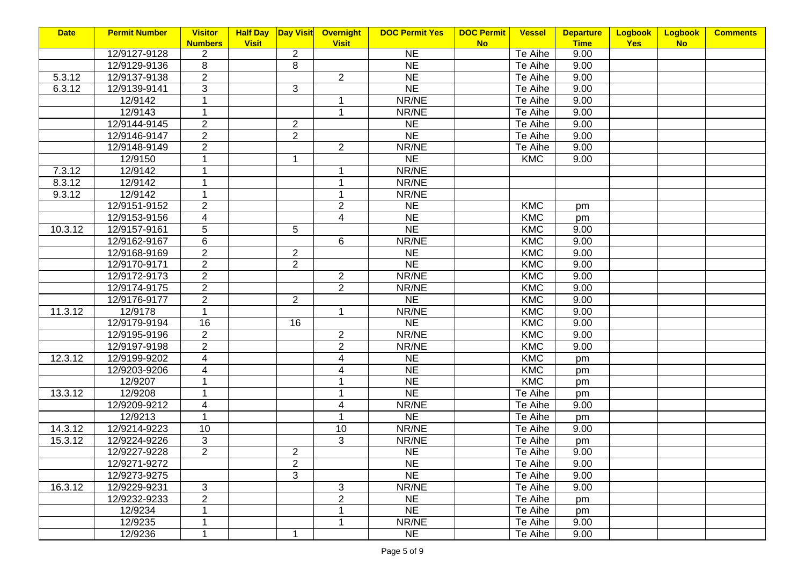| <b>Date</b> | <b>Permit Number</b> | <b>Visitor</b> | <b>Half Day</b> | <b>Day Visit</b> | Overnight      | <b>DOC Permit Yes</b> | <b>DOC Permit</b> | <b>Vessel</b> | <b>Departure</b> | <b>Logbook</b> | Logbook   | <b>Comments</b> |
|-------------|----------------------|----------------|-----------------|------------------|----------------|-----------------------|-------------------|---------------|------------------|----------------|-----------|-----------------|
|             |                      | <b>Numbers</b> | <b>Visit</b>    |                  | <b>Visit</b>   |                       | <b>No</b>         |               | <b>Time</b>      | <b>Yes</b>     | <b>No</b> |                 |
|             | 12/9127-9128         | 2              |                 | $\overline{2}$   |                | <b>NE</b>             |                   | Te Aihe       | 9.00             |                |           |                 |
|             | 12/9129-9136         | 8              |                 | 8                |                | <b>NE</b>             |                   | Te Aihe       | 9.00             |                |           |                 |
| 5.3.12      | 12/9137-9138         | $\overline{2}$ |                 |                  | $\overline{2}$ | <b>NE</b>             |                   | Te Aihe       | 9.00             |                |           |                 |
| 6.3.12      | 12/9139-9141         | 3              |                 | 3                |                | N <sub>E</sub>        |                   | Te Aihe       | 9.00             |                |           |                 |
|             | 12/9142              | 1              |                 |                  | 1              | NR/NE                 |                   | Te Aihe       | 9.00             |                |           |                 |
|             | 12/9143              | 1              |                 |                  | $\mathbf{1}$   | NR/NE                 |                   | Te Aihe       | 9.00             |                |           |                 |
|             | 12/9144-9145         | $\overline{2}$ |                 | $\overline{2}$   |                | <b>NE</b>             |                   | Te Aihe       | 9.00             |                |           |                 |
|             | 12/9146-9147         | $\overline{2}$ |                 | $\overline{2}$   |                | <b>NE</b>             |                   | Te Aihe       | 9.00             |                |           |                 |
|             | 12/9148-9149         | $\overline{2}$ |                 |                  | $\overline{2}$ | NR/NE                 |                   | Te Aihe       | 9.00             |                |           |                 |
|             | 12/9150              | 1              |                 | 1                |                | <b>NE</b>             |                   | <b>KMC</b>    | 9.00             |                |           |                 |
| 7.3.12      | 12/9142              | 1              |                 |                  | 1              | NR/NE                 |                   |               |                  |                |           |                 |
| 8.3.12      | 12/9142              | 1              |                 |                  | 1              | NR/NE                 |                   |               |                  |                |           |                 |
| 9.3.12      | 12/9142              | 1              |                 |                  | 1              | NR/NE                 |                   |               |                  |                |           |                 |
|             | 12/9151-9152         | $\overline{2}$ |                 |                  | $\overline{2}$ | <b>NE</b>             |                   | <b>KMC</b>    | pm               |                |           |                 |
|             | 12/9153-9156         | 4              |                 |                  | $\overline{4}$ | <b>NE</b>             |                   | <b>KMC</b>    | pm               |                |           |                 |
| 10.3.12     | 12/9157-9161         | 5              |                 | 5                |                | <b>NE</b>             |                   | KMC           | 9.00             |                |           |                 |
|             | 12/9162-9167         | 6              |                 |                  | 6              | NR/NE                 |                   | KMC           | 9.00             |                |           |                 |
|             | 12/9168-9169         | $\overline{2}$ |                 | $\overline{c}$   |                | <b>NE</b>             |                   | KMC           | 9.00             |                |           |                 |
|             | 12/9170-9171         | $\overline{2}$ |                 | $\overline{2}$   |                | <b>NE</b>             |                   | KMC           | 9.00             |                |           |                 |
|             | 12/9172-9173         | $\overline{2}$ |                 |                  | $\overline{2}$ | NR/NE                 |                   | KMC           | 9.00             |                |           |                 |
|             | 12/9174-9175         | $\overline{2}$ |                 |                  | $\overline{2}$ | NR/NE                 |                   | <b>KMC</b>    | 9.00             |                |           |                 |
|             | 12/9176-9177         | $\overline{2}$ |                 | $\overline{2}$   |                | N <sub>E</sub>        |                   | KMC           | 9.00             |                |           |                 |
| 11.3.12     | 12/9178              | $\mathbf{1}$   |                 |                  | 1              | NR/NE                 |                   | <b>KMC</b>    | 9.00             |                |           |                 |
|             | 12/9179-9194         | 16             |                 | 16               |                | NE                    |                   | <b>KMC</b>    | 9.00             |                |           |                 |
|             | 12/9195-9196         | $\overline{2}$ |                 |                  | $\overline{2}$ | NR/NE                 |                   | <b>KMC</b>    | 9.00             |                |           |                 |
|             | 12/9197-9198         | $\overline{2}$ |                 |                  | $\overline{2}$ | NR/NE                 |                   | KMC           | 9.00             |                |           |                 |
| 12.3.12     | 12/9199-9202         | $\overline{4}$ |                 |                  | $\overline{4}$ | N <sub>E</sub>        |                   | <b>KMC</b>    | pm               |                |           |                 |
|             | 12/9203-9206         | 4              |                 |                  | 4              | <b>NE</b>             |                   | <b>KMC</b>    | pm               |                |           |                 |
|             | 12/9207              |                |                 |                  |                | <b>NE</b>             |                   | KMC           | pm               |                |           |                 |
| 13.3.12     | 12/9208              |                |                 |                  |                | NE                    |                   | Te Aihe       | pm               |                |           |                 |
|             | 12/9209-9212         | 4              |                 |                  | 4              | NR/NE                 |                   | Te Aihe       | 9.00             |                |           |                 |
|             | 12/9213              | 1              |                 |                  | 1              | <b>NE</b>             |                   | Te Aihe       | pm               |                |           |                 |
| 14.3.12     | 12/9214-9223         | 10             |                 |                  | 10             | NR/NE                 |                   | Te Aihe       | 9.00             |                |           |                 |
| 15.3.12     | 12/9224-9226         | 3              |                 |                  | 3              | NR/NE                 |                   | Te Aihe       | pm               |                |           |                 |
|             | 12/9227-9228         | $\overline{2}$ |                 | $\overline{2}$   |                | <b>NE</b>             |                   | Te Aihe       | 9.00             |                |           |                 |
|             | 12/9271-9272         |                |                 | $\overline{2}$   |                | <b>NE</b>             |                   | Te Aihe       | 9.00             |                |           |                 |
|             | 12/9273-9275         |                |                 | 3                |                | <b>NE</b>             |                   | Te Aihe       | 9.00             |                |           |                 |
| 16.3.12     | 12/9229-9231         | 3              |                 |                  | 3              | NR/NE                 |                   | Te Aihe       | 9.00             |                |           |                 |
|             | 12/9232-9233         | $\overline{2}$ |                 |                  | $\overline{2}$ | <b>NE</b>             |                   | Te Aihe       | pm               |                |           |                 |
|             | 12/9234              | 1              |                 |                  |                | <b>NE</b>             |                   | Te Aihe       | pm               |                |           |                 |
|             | 12/9235              | 1              |                 |                  |                | NR/NE                 |                   | Te Aihe       | 9.00             |                |           |                 |
|             | 12/9236              | 1              |                 | 1                |                | <b>NE</b>             |                   | Te Aihe       | 9.00             |                |           |                 |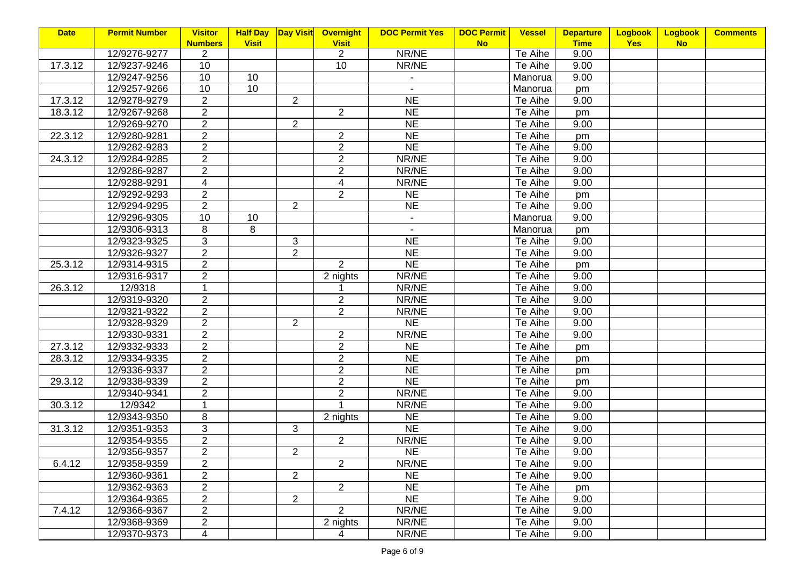| <b>Date</b> | <b>Permit Number</b> | <b>Visitor</b> | <b>Half Day</b> | <b>Day Visit</b> | Overnight      | <b>DOC Permit Yes</b> | <b>DOC Permit</b><br><b>Vessel</b> | <b>Departure</b> | <b>Logbook</b> | Logbook   | <b>Comments</b> |
|-------------|----------------------|----------------|-----------------|------------------|----------------|-----------------------|------------------------------------|------------------|----------------|-----------|-----------------|
|             |                      | <b>Numbers</b> | <b>Visit</b>    |                  | <b>Visit</b>   |                       | <b>No</b>                          | <b>Time</b>      | <b>Yes</b>     | <b>No</b> |                 |
|             | 12/9276-9277         | $\overline{2}$ |                 |                  | $\overline{2}$ | NR/NE                 | Te Aihe                            | 9.00             |                |           |                 |
| 17.3.12     | 12/9237-9246         | 10             |                 |                  | 10             | NR/NE                 | Te Aihe                            | 9.00             |                |           |                 |
|             | 12/9247-9256         | 10             | 10              |                  |                | $\blacksquare$        | Manorua                            | 9.00             |                |           |                 |
|             | 12/9257-9266         | 10             | 10              |                  |                | $\sim$                | Manorua                            | pm               |                |           |                 |
| 17.3.12     | 12/9278-9279         | $\overline{2}$ |                 | $\overline{2}$   |                | <b>NE</b>             | Te Aihe                            | 9.00             |                |           |                 |
| 18.3.12     | 12/9267-9268         | $\overline{2}$ |                 |                  | $\overline{2}$ | <b>NE</b>             | Te Aihe                            | pm               |                |           |                 |
|             | 12/9269-9270         | $\overline{2}$ |                 | 2                |                | <b>NE</b>             | Te Aihe                            | 9.00             |                |           |                 |
| 22.3.12     | 12/9280-9281         | $\overline{2}$ |                 |                  | $\overline{c}$ | <b>NE</b>             | Te Aihe                            | pm               |                |           |                 |
|             | 12/9282-9283         | $\overline{2}$ |                 |                  | $\overline{2}$ | <b>NE</b>             | Te Aihe                            | 9.00             |                |           |                 |
| 24.3.12     | 12/9284-9285         | $\overline{2}$ |                 |                  | $\overline{2}$ | NR/NE                 | Te Aihe                            | 9.00             |                |           |                 |
|             | 12/9286-9287         | $\overline{2}$ |                 |                  | $\overline{2}$ | NR/NE                 | Te Aihe                            | 9.00             |                |           |                 |
|             | 12/9288-9291         | 4              |                 |                  | 4              | NR/NE                 | Te Aihe                            | 9.00             |                |           |                 |
|             | 12/9292-9293         | $\overline{2}$ |                 |                  | $\overline{2}$ | <b>NE</b>             | Te Aihe                            | pm               |                |           |                 |
|             | 12/9294-9295         | $\overline{2}$ |                 | 2                |                | <b>NE</b>             | Te Aihe                            | 9.00             |                |           |                 |
|             | 12/9296-9305         | 10             | 10              |                  |                | $\sim$                | Manorua                            | 9.00             |                |           |                 |
|             | 12/9306-9313         | 8              | 8               |                  |                | $\sim$                | Manorua                            | pm               |                |           |                 |
|             | 12/9323-9325         | 3              |                 | $\mathfrak{S}$   |                | <b>NE</b>             | Te Aihe                            | 9.00             |                |           |                 |
|             | 12/9326-9327         | $\overline{2}$ |                 | $\overline{2}$   |                | <b>NE</b>             | Te Aihe                            | 9.00             |                |           |                 |
| 25.3.12     | 12/9314-9315         | $\overline{2}$ |                 |                  | $\overline{2}$ | <b>NE</b>             | Te Aihe                            | pm               |                |           |                 |
|             | 12/9316-9317         | $\overline{2}$ |                 |                  | 2 nights       | NR/NE                 | Te Aihe                            | 9.00             |                |           |                 |
| 26.3.12     | 12/9318              | $\mathbf{1}$   |                 |                  |                | NR/NE                 | Te Aihe                            | 9.00             |                |           |                 |
|             | 12/9319-9320         | $\overline{2}$ |                 |                  | $\overline{2}$ | NR/NE                 | Te Aihe                            | 9.00             |                |           |                 |
|             | 12/9321-9322         | $\overline{2}$ |                 |                  | $\overline{2}$ | NR/NE                 | Te Aihe                            | 9.00             |                |           |                 |
|             | 12/9328-9329         | $\overline{2}$ |                 | $\overline{2}$   |                | NE                    | Te Aihe                            | 9.00             |                |           |                 |
|             | 12/9330-9331         | $\overline{2}$ |                 |                  | $\overline{2}$ | NR/NE                 | Te Aihe                            | 9.00             |                |           |                 |
| 27.3.12     | 12/9332-9333         | $\overline{2}$ |                 |                  | $\overline{2}$ | <b>NE</b>             | Te Aihe                            | pm               |                |           |                 |
| 28.3.12     | 12/9334-9335         | $\overline{2}$ |                 |                  | $\overline{2}$ | N <sub>E</sub>        | Te Aihe                            | pm               |                |           |                 |
|             | 12/9336-9337         | $\overline{2}$ |                 |                  | $\overline{2}$ | <b>NE</b>             | Te Aihe                            | pm               |                |           |                 |
| 29.3.12     | 12/9338-9339         | $\overline{2}$ |                 |                  | $\overline{c}$ | N <sub>E</sub>        | Te Aihe                            | pm               |                |           |                 |
|             | 12/9340-9341         | $\overline{2}$ |                 |                  | $\overline{2}$ | NR/NE                 | Te Aihe                            | 9.00             |                |           |                 |
| 30.3.12     | 12/9342              | $\mathbf{1}$   |                 |                  |                | NR/NE                 | Te Aihe                            | 9.00             |                |           |                 |
|             | 12/9343-9350         | 8              |                 |                  | 2 nights       | <b>NE</b>             | Te Aihe                            | 9.00             |                |           |                 |
| 31.3.12     | 12/9351-9353         | 3              |                 | 3                |                | N <sub>E</sub>        | Te Aihe                            | 9.00             |                |           |                 |
|             | 12/9354-9355         | $\overline{2}$ |                 |                  | $\overline{2}$ | NR/NE                 | Te Aihe                            | 9.00             |                |           |                 |
|             | 12/9356-9357         | $\overline{2}$ |                 | $\overline{2}$   |                | <b>NE</b>             | Te Aihe                            | 9.00             |                |           |                 |
| 6.4.12      | 12/9358-9359         | $\overline{2}$ |                 |                  | $\overline{2}$ | NR/NE                 | Te Aihe                            | 9.00             |                |           |                 |
|             | 12/9360-9361         | $\overline{2}$ |                 | 2                |                | <b>NE</b>             | Te Aihe                            | 9.00             |                |           |                 |
|             | 12/9362-9363         | $\overline{c}$ |                 |                  | $\overline{2}$ | <b>NE</b>             | Te Aihe                            | pm               |                |           |                 |
|             | 12/9364-9365         | $\overline{2}$ |                 | 2                |                | <b>NE</b>             | Te Aihe                            | 9.00             |                |           |                 |
| 7.4.12      | 12/9366-9367         | $\overline{2}$ |                 |                  | $\overline{2}$ | NR/NE                 | Te Aihe                            | 9.00             |                |           |                 |
|             | 12/9368-9369         | $\overline{2}$ |                 |                  | 2 nights       | NR/NE                 | Te Aihe                            | 9.00             |                |           |                 |
|             | 12/9370-9373         | 4              |                 |                  | 4              | NR/NE                 | Te Aihe                            | 9.00             |                |           |                 |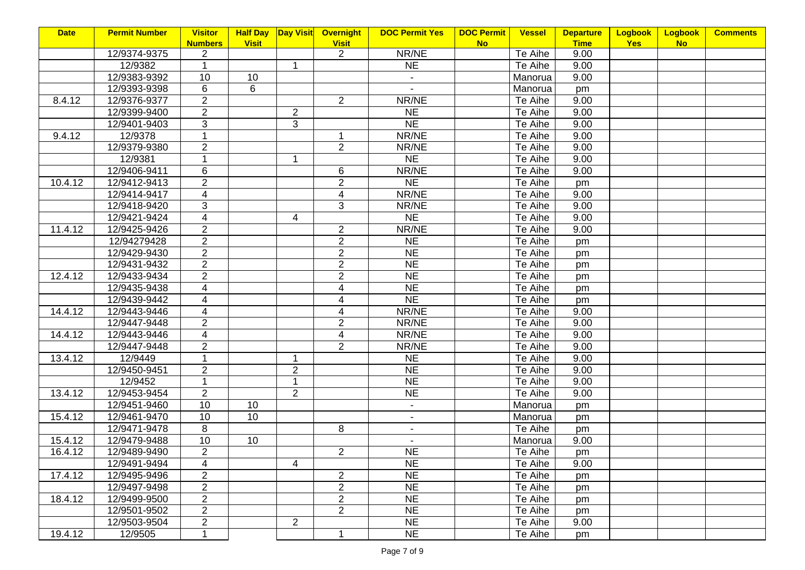|         |                                                                                                                                                        | <b>Logbook</b>                                                                                                                                                                                                                                                               | Logbook    | <b>Comments</b> |
|---------|--------------------------------------------------------------------------------------------------------------------------------------------------------|------------------------------------------------------------------------------------------------------------------------------------------------------------------------------------------------------------------------------------------------------------------------------|------------|-----------------|
|         |                                                                                                                                                        |                                                                                                                                                                                                                                                                              |            |                 |
|         |                                                                                                                                                        |                                                                                                                                                                                                                                                                              |            |                 |
|         |                                                                                                                                                        |                                                                                                                                                                                                                                                                              |            |                 |
|         |                                                                                                                                                        |                                                                                                                                                                                                                                                                              |            |                 |
|         | pm                                                                                                                                                     |                                                                                                                                                                                                                                                                              |            |                 |
| Te Aihe |                                                                                                                                                        |                                                                                                                                                                                                                                                                              |            |                 |
| Te Aihe |                                                                                                                                                        |                                                                                                                                                                                                                                                                              |            |                 |
| Te Aihe |                                                                                                                                                        |                                                                                                                                                                                                                                                                              |            |                 |
| Te Aihe |                                                                                                                                                        |                                                                                                                                                                                                                                                                              |            |                 |
| Te Aihe | 9.00                                                                                                                                                   |                                                                                                                                                                                                                                                                              |            |                 |
| Te Aihe | 9.00                                                                                                                                                   |                                                                                                                                                                                                                                                                              |            |                 |
| Te Aihe | 9.00                                                                                                                                                   |                                                                                                                                                                                                                                                                              |            |                 |
| Te Aihe | pm                                                                                                                                                     |                                                                                                                                                                                                                                                                              |            |                 |
| Te Aihe | 9.00                                                                                                                                                   |                                                                                                                                                                                                                                                                              |            |                 |
| Te Aihe | 9.00                                                                                                                                                   |                                                                                                                                                                                                                                                                              |            |                 |
| Te Aihe | 9.00                                                                                                                                                   |                                                                                                                                                                                                                                                                              |            |                 |
| Te Aihe | 9.00                                                                                                                                                   |                                                                                                                                                                                                                                                                              |            |                 |
| Te Aihe |                                                                                                                                                        |                                                                                                                                                                                                                                                                              |            |                 |
| Te Aihe |                                                                                                                                                        |                                                                                                                                                                                                                                                                              |            |                 |
| Te Aihe |                                                                                                                                                        |                                                                                                                                                                                                                                                                              |            |                 |
| Te Aihe |                                                                                                                                                        |                                                                                                                                                                                                                                                                              |            |                 |
| Te Aihe | pm                                                                                                                                                     |                                                                                                                                                                                                                                                                              |            |                 |
| Te Aihe |                                                                                                                                                        |                                                                                                                                                                                                                                                                              |            |                 |
| Te Aihe | 9.00                                                                                                                                                   |                                                                                                                                                                                                                                                                              |            |                 |
| Te Aihe |                                                                                                                                                        |                                                                                                                                                                                                                                                                              |            |                 |
| Te Aihe |                                                                                                                                                        |                                                                                                                                                                                                                                                                              |            |                 |
| Te Aihe |                                                                                                                                                        |                                                                                                                                                                                                                                                                              |            |                 |
| Te Aihe |                                                                                                                                                        |                                                                                                                                                                                                                                                                              |            |                 |
| Te Aihe |                                                                                                                                                        |                                                                                                                                                                                                                                                                              |            |                 |
| Te Aihe |                                                                                                                                                        |                                                                                                                                                                                                                                                                              |            |                 |
| Te Aihe |                                                                                                                                                        |                                                                                                                                                                                                                                                                              |            |                 |
| Manorua |                                                                                                                                                        |                                                                                                                                                                                                                                                                              |            |                 |
|         |                                                                                                                                                        |                                                                                                                                                                                                                                                                              |            |                 |
| Te Aihe |                                                                                                                                                        |                                                                                                                                                                                                                                                                              |            |                 |
|         |                                                                                                                                                        |                                                                                                                                                                                                                                                                              |            |                 |
|         |                                                                                                                                                        |                                                                                                                                                                                                                                                                              |            |                 |
|         |                                                                                                                                                        |                                                                                                                                                                                                                                                                              |            |                 |
|         |                                                                                                                                                        |                                                                                                                                                                                                                                                                              |            |                 |
|         |                                                                                                                                                        |                                                                                                                                                                                                                                                                              |            |                 |
|         |                                                                                                                                                        |                                                                                                                                                                                                                                                                              |            |                 |
|         |                                                                                                                                                        |                                                                                                                                                                                                                                                                              |            |                 |
|         |                                                                                                                                                        |                                                                                                                                                                                                                                                                              |            |                 |
|         |                                                                                                                                                        |                                                                                                                                                                                                                                                                              |            |                 |
|         | Te Aihe<br>Te Aihe<br>Manorua<br>Manorua<br>Manorua<br>Manorua<br>Te Aihe<br>Te Aihe<br>Te Aihe<br>Te Aihe<br>Te Aihe<br>Te Aihe<br>Te Aihe<br>Te Aihe | <b>Vessel</b><br><b>Departure</b><br><b>Time</b><br>9.00<br>9.00<br>9.00<br>9.00<br>9.00<br>9.00<br>9.00<br>pm<br>pm<br>pm<br>pm<br>pm<br>9.00<br>9.00<br>9.00<br>9.00<br>9.00<br>9.00<br>9.00<br>pm<br>pm<br>pm<br>9.00<br>pm<br>9.00<br>pm<br>pm<br>pm<br>pm<br>9.00<br>pm | <b>Yes</b> | <b>No</b>       |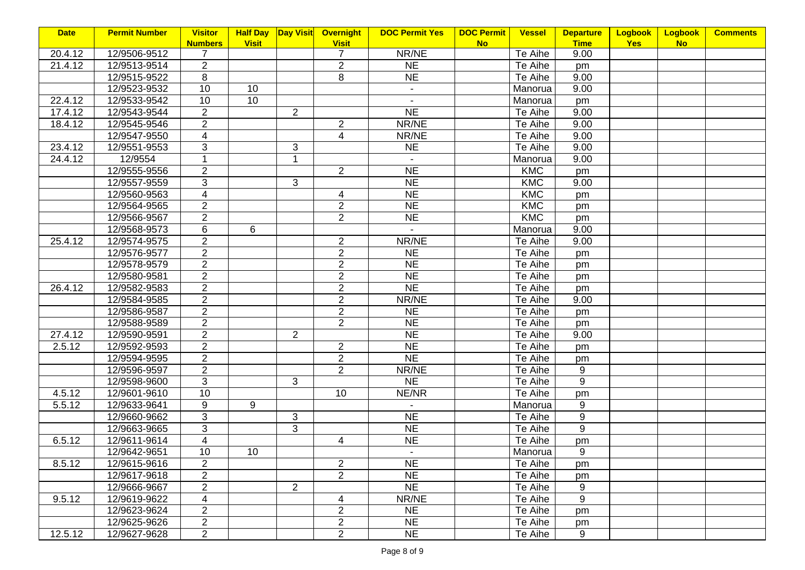| <b>Date</b> | <b>Permit Number</b> | <b>Visitor</b> |                 | <b>Half Day Day Visit</b> | <b>Overnight</b> | <b>DOC Permit Yes</b> | <b>DOC Permit</b> | <b>Vessel</b> | <b>Departure</b> | <b>Logbook</b> | <b>Logbook</b> | <b>Comments</b> |
|-------------|----------------------|----------------|-----------------|---------------------------|------------------|-----------------------|-------------------|---------------|------------------|----------------|----------------|-----------------|
|             |                      | <b>Numbers</b> | <b>Visit</b>    |                           | <b>Visit</b>     |                       | <b>No</b>         |               | <b>Time</b>      | <b>Yes</b>     | <b>No</b>      |                 |
| 20.4.12     | 12/9506-9512         | 7              |                 |                           | 7                | NR/NE                 |                   | Te Aihe       | 9.00             |                |                |                 |
| 21.4.12     | 12/9513-9514         | $\overline{2}$ |                 |                           | $\overline{2}$   | <b>NE</b>             |                   | Te Aihe       | pm               |                |                |                 |
|             | 12/9515-9522         | 8              |                 |                           | 8                | <b>NE</b>             |                   | Te Aihe       | 9.00             |                |                |                 |
|             | 12/9523-9532         | 10             | 10 <sup>°</sup> |                           |                  | $\blacksquare$        |                   | Manorua       | 9.00             |                |                |                 |
| 22.4.12     | 12/9533-9542         | 10             | 10              |                           |                  |                       |                   | Manorua       | pm               |                |                |                 |
| 17.4.12     | 12/9543-9544         | $\overline{2}$ |                 | $\overline{2}$            |                  | <b>NE</b>             |                   | Te Aihe       | 9.00             |                |                |                 |
| 18.4.12     | 12/9545-9546         | $\overline{2}$ |                 |                           | $\overline{2}$   | NR/NE                 |                   | Te Aihe       | 9.00             |                |                |                 |
|             | 12/9547-9550         | 4              |                 |                           | 4                | NR/NE                 |                   | Te Aihe       | 9.00             |                |                |                 |
| 23.4.12     | 12/9551-9553         | 3              |                 | 3                         |                  | <b>NE</b>             |                   | Te Aihe       | 9.00             |                |                |                 |
| 24.4.12     | 12/9554              |                |                 | 1                         |                  | $\sim$                |                   | Manorua       | 9.00             |                |                |                 |
|             | 12/9555-9556         | $\overline{2}$ |                 |                           | $\overline{2}$   | <b>NE</b>             |                   | <b>KMC</b>    | pm               |                |                |                 |
|             | 12/9557-9559         | 3              |                 | 3                         |                  | <b>NE</b>             |                   | <b>KMC</b>    | 9.00             |                |                |                 |
|             | 12/9560-9563         | $\overline{4}$ |                 |                           | $\overline{4}$   | <b>NE</b>             |                   | <b>KMC</b>    | pm               |                |                |                 |
|             | 12/9564-9565         | $\overline{2}$ |                 |                           | $\overline{2}$   | <b>NE</b>             |                   | <b>KMC</b>    | pm               |                |                |                 |
|             | 12/9566-9567         | $\overline{2}$ |                 |                           | $\overline{2}$   | <b>NE</b>             |                   | KMC           | pm               |                |                |                 |
|             | 12/9568-9573         | 6              | 6               |                           |                  | $\sim$                |                   | Manorua       | 9.00             |                |                |                 |
| 25.4.12     | 12/9574-9575         | $\overline{2}$ |                 |                           | $\overline{2}$   | NR/NE                 |                   | Te Aihe       | 9.00             |                |                |                 |
|             | 12/9576-9577         | $\overline{2}$ |                 |                           | $\overline{2}$   | <b>NE</b>             |                   | Te Aihe       | pm               |                |                |                 |
|             | 12/9578-9579         | $\overline{2}$ |                 |                           | $\overline{2}$   | <b>NE</b>             |                   | Te Aihe       | pm               |                |                |                 |
|             | 12/9580-9581         | $\overline{2}$ |                 |                           | $\overline{2}$   | <b>NE</b>             |                   | Te Aihe       | pm               |                |                |                 |
| 26.4.12     | 12/9582-9583         | $\overline{2}$ |                 |                           | $\overline{2}$   | NE                    |                   | Te Aihe       | pm               |                |                |                 |
|             | 12/9584-9585         | $\overline{2}$ |                 |                           | $\overline{2}$   | NR/NE                 |                   | Te Aihe       | 9.00             |                |                |                 |
|             | 12/9586-9587         | $\overline{2}$ |                 |                           | $\overline{2}$   | <b>NE</b>             |                   | Te Aihe       | pm               |                |                |                 |
|             | 12/9588-9589         | $\overline{2}$ |                 |                           | $\overline{2}$   | N <sub>E</sub>        |                   | Te Aihe       | pm               |                |                |                 |
| 27.4.12     | 12/9590-9591         | $\overline{2}$ |                 | $\overline{2}$            |                  | <b>NE</b>             |                   | Te Aihe       | 9.00             |                |                |                 |
| 2.5.12      | 12/9592-9593         | $\overline{2}$ |                 |                           | $\overline{2}$   | <b>NE</b>             |                   | Te Aihe       | pm               |                |                |                 |
|             | 12/9594-9595         | $\overline{2}$ |                 |                           | $\overline{2}$   | NE                    |                   | Te Aihe       | pm               |                |                |                 |
|             | 12/9596-9597         | $\overline{2}$ |                 |                           | $\overline{2}$   | NR/NE                 |                   | Te Aihe       | 9                |                |                |                 |
|             | 12/9598-9600         | $\overline{3}$ |                 | 3                         |                  | <b>NE</b>             |                   | Te Aihe       | 9                |                |                |                 |
| 4.5.12      | 12/9601-9610         | 10             |                 |                           | 10               | NE/NR                 |                   | Te Aihe       | pm               |                |                |                 |
| 5.5.12      | 12/9633-9641         | 9              | 9               |                           |                  | $\blacksquare$        |                   | Manorua       | 9                |                |                |                 |
|             | 12/9660-9662         | 3              |                 | 3                         |                  | <b>NE</b>             |                   | Te Aihe       | 9                |                |                |                 |
|             | 12/9663-9665         | 3              |                 | 3                         |                  | <b>NE</b>             |                   | Te Aihe       | 9                |                |                |                 |
| 6.5.12      | 12/9611-9614         | $\overline{4}$ |                 |                           | $\overline{4}$   | <b>NE</b>             |                   | Te Aihe       | pm               |                |                |                 |
|             | 12/9642-9651         | 10             | 10              |                           |                  |                       |                   | Manorua       | 9                |                |                |                 |
| 8.5.12      | 12/9615-9616         | $\overline{2}$ |                 |                           | $\overline{2}$   | <b>NE</b>             |                   | Te Aihe       | pm               |                |                |                 |
|             | 12/9617-9618         | $\overline{2}$ |                 |                           | $\overline{2}$   | <b>NE</b>             |                   | Te Aihe       | pm               |                |                |                 |
|             | 12/9666-9667         | $\overline{2}$ |                 | $\overline{2}$            |                  | <b>NE</b>             |                   | Te Aihe       | 9                |                |                |                 |
| 9.5.12      | 12/9619-9622         | 4              |                 |                           | 4                | NR/NE                 |                   | Te Aihe       | 9                |                |                |                 |
|             | 12/9623-9624         | $\overline{2}$ |                 |                           | $\overline{2}$   | <b>NE</b>             |                   | Te Aihe       | pm               |                |                |                 |
|             | 12/9625-9626         | $\overline{2}$ |                 |                           | $\overline{2}$   | <b>NE</b>             |                   | Te Aihe       | pm               |                |                |                 |
| 12.5.12     | 12/9627-9628         | $\overline{2}$ |                 |                           | $\overline{2}$   | <b>NE</b>             |                   | Te Aihe       | 9                |                |                |                 |